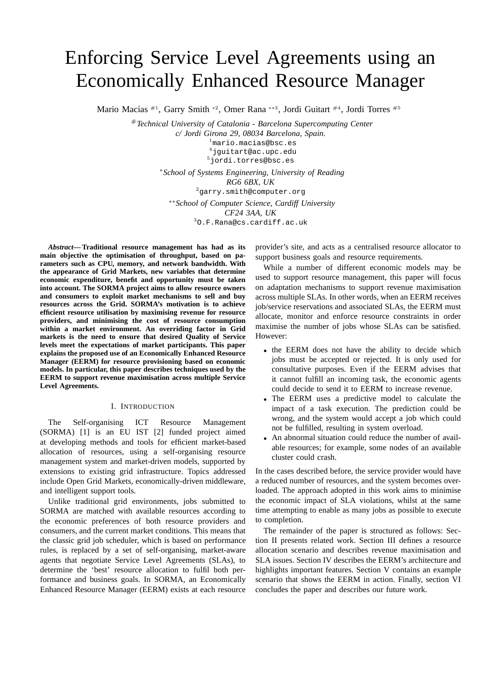# Enforcing Service Level Agreements using an Economically Enhanced Resource Manager

Mario Macías <sup>#1</sup>, Garry Smith <sup>\*2</sup>, Omer Rana \*\*<sup>3</sup>, Jordi Guitart <sup>#4</sup>, Jordi Torres <sup>#5</sup>

#*Technical University of Catalonia - Barcelona Supercomputing Center c/ Jordi Girona 29, 08034 Barcelona, Spain.*  $1$ mario.macias@bsc.es <sup>4</sup>jguitart@ac.upc.edu <sup>5</sup>jordi.torres@bsc.es

<sup>∗</sup>*School of Systems Engineering, University of Reading RG6 6BX, UK* <sup>2</sup>qarry.smith@computer.org ∗∗*School of Computer Science, Cardiff University CF24 3AA, UK* <sup>3</sup>O.F.Rana@cs.cardiff.ac.uk

*Abstract***— Traditional resource management has had as its main objective the optimisation of throughput, based on parameters such as CPU, memory, and network bandwidth. With the appearance of Grid Markets, new variables that determine economic expenditure, benefit and opportunity must be taken into account. The SORMA project aims to allow resource owners and consumers to exploit market mechanisms to sell and buy resources across the Grid. SORMA's motivation is to achieve efficient resource utilisation by maximising revenue for resource providers, and minimising the cost of resource consumption within a market environment. An overriding factor in Grid markets is the need to ensure that desired Quality of Service levels meet the expectations of market participants. This paper explains the proposed use of an Economically Enhanced Resource Manager (EERM) for resource provisioning based on economic models. In particular, this paper describes techniques used by the EERM to support revenue maximisation across multiple Service Level Agreements.**

#### I. INTRODUCTION

The Self-organising ICT Resource Management (SORMA) [1] is an EU IST [2] funded project aimed at developing methods and tools for efficient market-based allocation of resources, using a self-organising resource management system and market-driven models, supported by extensions to existing grid infrastructure. Topics addressed include Open Grid Markets, economically-driven middleware, and intelligent support tools.

Unlike traditional grid environments, jobs submitted to SORMA are matched with available resources according to the economic preferences of both resource providers and consumers, and the current market conditions. This means that the classic grid job scheduler, which is based on performance rules, is replaced by a set of self-organising, market-aware agents that negotiate Service Level Agreements (SLAs), to determine the 'best' resource allocation to fulfil both performance and business goals. In SORMA, an Economically Enhanced Resource Manager (EERM) exists at each resource provider's site, and acts as a centralised resource allocator to support business goals and resource requirements.

While a number of different economic models may be used to support resource management, this paper will focus on adaptation mechanisms to support revenue maximisation across multiple SLAs. In other words, when an EERM receives job/service reservations and associated SLAs, the EERM must allocate, monitor and enforce resource constraints in order maximise the number of jobs whose SLAs can be satisfied. However:

- the EERM does not have the ability to decide which jobs must be accepted or rejected. It is only used for consultative purposes. Even if the EERM advises that it cannot fulfill an incoming task, the economic agents could decide to send it to EERM to increase revenue.
- The EERM uses a predictive model to calculate the impact of a task execution. The prediction could be wrong, and the system would accept a job which could not be fulfilled, resulting in system overload.
- An abnormal situation could reduce the number of available resources; for example, some nodes of an available cluster could crash.

In the cases described before, the service provider would have a reduced number of resources, and the system becomes overloaded. The approach adopted in this work aims to minimise the economic impact of SLA violations, whilst at the same time attempting to enable as many jobs as possible to execute to completion.

The remainder of the paper is structured as follows: Section II presents related work. Section III defines a resource allocation scenario and describes revenue maximisation and SLA issues. Section IV describes the EERM's architecture and highlights important features. Section V contains an example scenario that shows the EERM in action. Finally, section VI concludes the paper and describes our future work.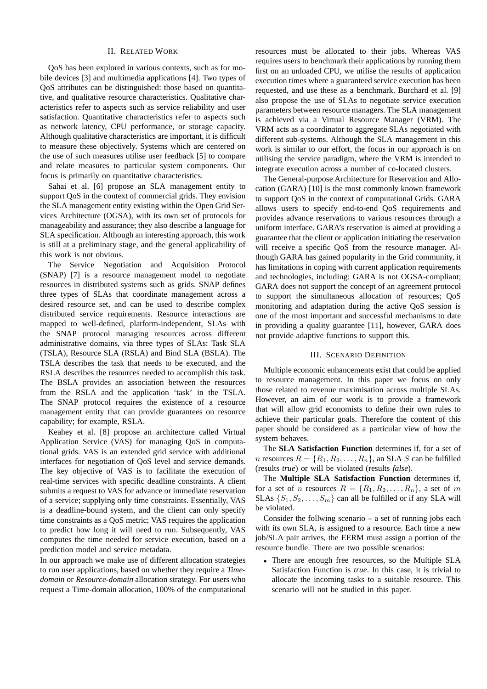## II. RELATED WORK

QoS has been explored in various contexts, such as for mobile devices [3] and multimedia applications [4]. Two types of QoS attributes can be distinguished: those based on quantitative, and qualitative resource characteristics. Qualitative characteristics refer to aspects such as service reliability and user satisfaction. Quantitative characteristics refer to aspects such as network latency, CPU performance, or storage capacity. Although qualitative characteristics are important, it is difficult to measure these objectively. Systems which are centered on the use of such measures utilise user feedback [5] to compare and relate measures to particular system components. Our focus is primarily on quantitative characteristics.

Sahai et al. [6] propose an SLA management entity to support QoS in the context of commercial grids. They envision the SLA management entity existing within the Open Grid Services Architecture (OGSA), with its own set of protocols for manageability and assurance; they also describe a language for SLA specification. Although an interesting approach, this work is still at a preliminary stage, and the general applicability of this work is not obvious.

The Service Negotiation and Acquisition Protocol (SNAP) [7] is a resource management model to negotiate resources in distributed systems such as grids. SNAP defines three types of SLAs that coordinate management across a desired resource set, and can be used to describe complex distributed service requirements. Resource interactions are mapped to well-defined, platform-independent, SLAs with the SNAP protocol managing resources across different administrative domains, via three types of SLAs: Task SLA (TSLA), Resource SLA (RSLA) and Bind SLA (BSLA). The TSLA describes the task that needs to be executed, and the RSLA describes the resources needed to accomplish this task. The BSLA provides an association between the resources from the RSLA and the application 'task' in the TSLA. The SNAP protocol requires the existence of a resource management entity that can provide guarantees on resource capability; for example, RSLA.

Keahey et al. [8] propose an architecture called Virtual Application Service (VAS) for managing QoS in computational grids. VAS is an extended grid service with additional interfaces for negotiation of QoS level and service demands. The key objective of VAS is to facilitate the execution of real-time services with specific deadline constraints. A client submits a request to VAS for advance or immediate reservation of a service; supplying only time constraints. Essentially, VAS is a deadline-bound system, and the client can only specify time constraints as a QoS metric; VAS requires the application to predict how long it will need to run. Subsequently, VAS computes the time needed for service execution, based on a prediction model and service metadata.

In our approach we make use of different allocation strategies to run user applications, based on whether they require a *Timedomain* or *Resource-domain* allocation strategy. For users who request a Time-domain allocation, 100% of the computational resources must be allocated to their jobs. Whereas VAS requires users to benchmark their applications by running them first on an unloaded CPU, we utilise the results of application execution times where a guaranteed service execution has been requested, and use these as a benchmark. Burchard et al. [9] also propose the use of SLAs to negotiate service execution parameters between resource managers. The SLA management is achieved via a Virtual Resource Manager (VRM). The VRM acts as a coordinator to aggregate SLAs negotiated with different sub-systems. Although the SLA management in this work is similar to our effort, the focus in our approach is on utilising the service paradigm, where the VRM is intended to integrate execution across a number of co-located clusters.

The General-purpose Architecture for Reservation and Allocation (GARA) [10] is the most commonly known framework to support QoS in the context of computational Grids. GARA allows users to specify end-to-end QoS requirements and provides advance reservations to various resources through a uniform interface. GARA's reservation is aimed at providing a guarantee that the client or application initiating the reservation will receive a specific QoS from the resource manager. Although GARA has gained popularity in the Grid community, it has limitations in coping with current application requirements and technologies, including: GARA is not OGSA-compliant; GARA does not support the concept of an agreement protocol to support the simultaneous allocation of resources; QoS monitoring and adaptation during the active QoS session is one of the most important and successful mechanisms to date in providing a quality guarantee [11], however, GARA does not provide adaptive functions to support this.

#### III. SCENARIO DEFINITION

Multiple economic enhancements exist that could be applied to resource management. In this paper we focus on only those related to revenue maximisation across multiple SLAs. However, an aim of our work is to provide a framework that will allow grid economists to define their own rules to achieve their particular goals. Therefore the content of this paper should be considered as a particular view of how the system behaves.

The **SLA Satisfaction Function** determines if, for a set of *n* resources  $R = \{R_1, R_2, \ldots, R_n\}$ , an SLA S can be fulfilled (results *true*) or will be violated (results *false*).

The **Multiple SLA Satisfaction Function** determines if, for a set of n resources  $R = \{R_1, R_2, \ldots, R_n\}$ , a set of m SLAs  $\{S_1, S_2, \ldots, S_m\}$  can all be fulfilled or if any SLA will be violated.

Consider the follwing scenario  $-$  a set of running jobs each with its own SLA, is assigned to a resource. Each time a new job/SLA pair arrives, the EERM must assign a portion of the resource bundle. There are two possible scenarios:

• There are enough free resources, so the Multiple SLA Satisfaction Function is *true*. In this case, it is trivial to allocate the incoming tasks to a suitable resource. This scenario will not be studied in this paper.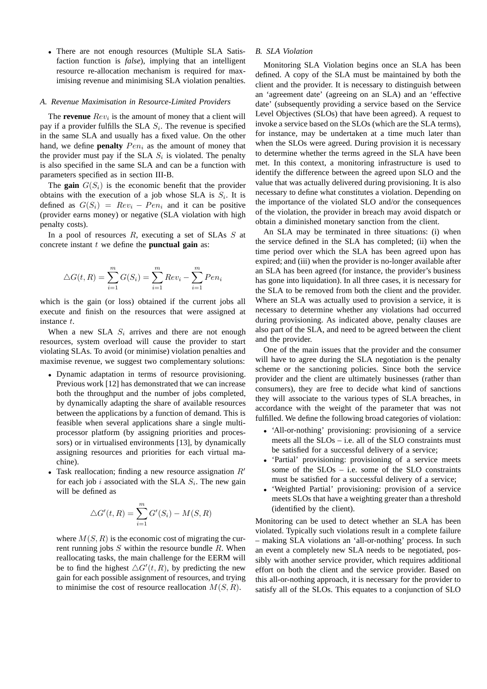• There are not enough resources (Multiple SLA Satisfaction function is *false*), implying that an intelligent resource re-allocation mechanism is required for maximising revenue and minimising SLA violation penalties.

## *A. Revenue Maximisation in Resource-Limited Providers*

The **revenue**  $Rev<sub>i</sub>$  is the amount of money that a client will pay if a provider fulfills the SLA  $S_i$ . The revenue is specified in the same SLA and usually has a fixed value. On the other hand, we define **penalty**  $Pen<sub>i</sub>$  as the amount of money that the provider must pay if the SLA  $S_i$  is violated. The penalty is also specified in the same SLA and can be a function with parameters specified as in section III-B.

The **gain**  $G(S_i)$  is the economic benefit that the provider obtains with the execution of a job whose SLA is  $S_i$ . It is defined as  $G(S_i) = Rev_i - Pen_i$  and it can be positive (provider earns money) or negative (SLA violation with high penalty costs).

In a pool of resources  $R$ , executing a set of SLAs  $S$  at concrete instant  $t$  we define the **punctual gain** as:

$$
\triangle G(t, R) = \sum_{i=1}^{m} G(S_i) = \sum_{i=1}^{m} Rev_i - \sum_{i=1}^{m} Pen_i
$$

which is the gain (or loss) obtained if the current jobs all execute and finish on the resources that were assigned at instance t.

When a new SLA  $S_i$  arrives and there are not enough resources, system overload will cause the provider to start violating SLAs. To avoid (or minimise) violation penalties and maximise revenue, we suggest two complementary solutions:

- Dynamic adaptation in terms of resource provisioning. Previous work [12] has demonstrated that we can increase both the throughput and the number of jobs completed, by dynamically adapting the share of available resources between the applications by a function of demand. This is feasible when several applications share a single multiprocessor platform (by assigning priorities and processors) or in virtualised environments [13], by dynamically assigning resources and priorities for each virtual machine).
- Task reallocation; finding a new resource assignation  $R'$ for each job i associated with the SLA  $S_i$ . The new gain will be defined as

$$
\triangle G'(t, R) = \sum_{i=1}^{m} G'(S_i) - M(S, R)
$$

where  $M(S, R)$  is the economic cost of migrating the current running jobs  $S$  within the resource bundle  $R$ . When reallocating tasks, the main challenge for the EERM will be to find the highest  $\triangle G'(t, R)$ , by predicting the new gain for each possible assignment of resources, and trying to minimise the cost of resource reallocation  $M(S, R)$ .

## *B. SLA Violation*

Monitoring SLA Violation begins once an SLA has been defined. A copy of the SLA must be maintained by both the client and the provider. It is necessary to distinguish between an 'agreement date' (agreeing on an SLA) and an 'effective date' (subsequently providing a service based on the Service Level Objectives (SLOs) that have been agreed). A request to invoke a service based on the SLOs (which are the SLA terms), for instance, may be undertaken at a time much later than when the SLOs were agreed. During provision it is necessary to determine whether the terms agreed in the SLA have been met. In this context, a monitoring infrastructure is used to identify the difference between the agreed upon SLO and the value that was actually delivered during provisioning. It is also necessary to define what constitutes a violation. Depending on the importance of the violated SLO and/or the consequences of the violation, the provider in breach may avoid dispatch or obtain a diminished monetary sanction from the client.

An SLA may be terminated in three situations: (i) when the service defined in the SLA has completed; (ii) when the time period over which the SLA has been agreed upon has expired; and (iii) when the provider is no-longer available after an SLA has been agreed (for instance, the provider's business has gone into liquidation). In all three cases, it is necessary for the SLA to be removed from both the client and the provider. Where an SLA was actually used to provision a service, it is necessary to determine whether any violations had occurred during provisioning. As indicated above, penalty clauses are also part of the SLA, and need to be agreed between the client and the provider.

One of the main issues that the provider and the consumer will have to agree during the SLA negotiation is the penalty scheme or the sanctioning policies. Since both the service provider and the client are ultimately businesses (rather than consumers), they are free to decide what kind of sanctions they will associate to the various types of SLA breaches, in accordance with the weight of the parameter that was not fulfilled. We define the following broad categories of violation:

- 'All-or-nothing' provisioning: provisioning of a service meets all the SLOs – i.e. all of the SLO constraints must be satisfied for a successful delivery of a service;
- 'Partial' provisioning: provisioning of a service meets some of the SLOs – i.e. some of the SLO constraints must be satisfied for a successful delivery of a service;
- 'Weighted Partial' provisioning: provision of a service meets SLOs that have a weighting greater than a threshold (identified by the client).

Monitoring can be used to detect whether an SLA has been violated. Typically such violations result in a complete failure – making SLA violations an 'all-or-nothing' process. In such an event a completely new SLA needs to be negotiated, possibly with another service provider, which requires additional effort on both the client and the service provider. Based on this all-or-nothing approach, it is necessary for the provider to satisfy all of the SLOs. This equates to a conjunction of SLO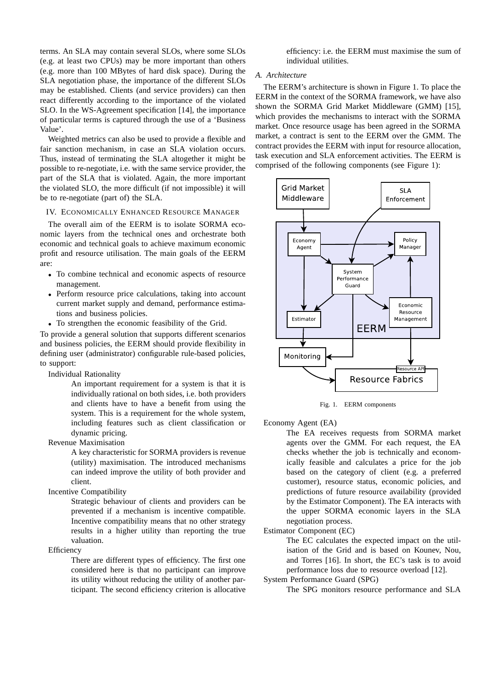terms. An SLA may contain several SLOs, where some SLOs (e.g. at least two CPUs) may be more important than others (e.g. more than 100 MBytes of hard disk space). During the SLA negotiation phase, the importance of the different SLOs may be established. Clients (and service providers) can then react differently according to the importance of the violated SLO. In the WS-Agreement specification [14], the importance of particular terms is captured through the use of a 'Business Value'.

Weighted metrics can also be used to provide a flexible and fair sanction mechanism, in case an SLA violation occurs. Thus, instead of terminating the SLA altogether it might be possible to re-negotiate, i.e. with the same service provider, the part of the SLA that is violated. Again, the more important the violated SLO, the more difficult (if not impossible) it will be to re-negotiate (part of) the SLA.

# IV. ECONOMICALLY ENHANCED RESOURCE MANAGER

The overall aim of the EERM is to isolate SORMA economic layers from the technical ones and orchestrate both economic and technical goals to achieve maximum economic profit and resource utilisation. The main goals of the EERM are:

- To combine technical and economic aspects of resource management.
- Perform resource price calculations, taking into account current market supply and demand, performance estimations and business policies.
- To strengthen the economic feasibility of the Grid.

To provide a general solution that supports different scenarios and business policies, the EERM should provide flexibility in defining user (administrator) configurable rule-based policies, to support:

Individual Rationality

An important requirement for a system is that it is individually rational on both sides, i.e. both providers and clients have to have a benefit from using the system. This is a requirement for the whole system, including features such as client classification or dynamic pricing.

Revenue Maximisation

A key characteristic for SORMA providers is revenue (utility) maximisation. The introduced mechanisms can indeed improve the utility of both provider and client.

Incentive Compatibility

Strategic behaviour of clients and providers can be prevented if a mechanism is incentive compatible. Incentive compatibility means that no other strategy results in a higher utility than reporting the true valuation.

## Efficiency

There are different types of efficiency. The first one considered here is that no participant can improve its utility without reducing the utility of another participant. The second efficiency criterion is allocative efficiency: i.e. the EERM must maximise the sum of individual utilities.

# *A. Architecture*

The EERM's architecture is shown in Figure 1. To place the EERM in the context of the SORMA framework, we have also shown the SORMA Grid Market Middleware (GMM) [15], which provides the mechanisms to interact with the SORMA market. Once resource usage has been agreed in the SORMA market, a contract is sent to the EERM over the GMM. The contract provides the EERM with input for resource allocation, task execution and SLA enforcement activities. The EERM is comprised of the following components (see Figure 1):



Fig. 1. EERM components

Economy Agent (EA)

The EA receives requests from SORMA market agents over the GMM. For each request, the EA checks whether the job is technically and economically feasible and calculates a price for the job based on the category of client (e.g. a preferred customer), resource status, economic policies, and predictions of future resource availability (provided by the Estimator Component). The EA interacts with the upper SORMA economic layers in the SLA negotiation process.

Estimator Component (EC)

The EC calculates the expected impact on the utilisation of the Grid and is based on Kounev, Nou, and Torres [16]. In short, the EC's task is to avoid performance loss due to resource overload [12].

System Performance Guard (SPG)

The SPG monitors resource performance and SLA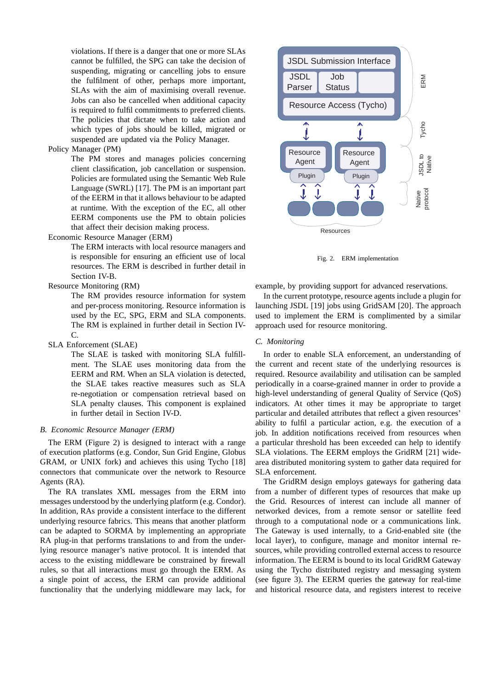violations. If there is a danger that one or more SLAs cannot be fulfilled, the SPG can take the decision of suspending, migrating or cancelling jobs to ensure the fulfilment of other, perhaps more important, SLAs with the aim of maximising overall revenue. Jobs can also be cancelled when additional capacity is required to fulfil commitments to preferred clients. The policies that dictate when to take action and which types of jobs should be killed, migrated or suspended are updated via the Policy Manager.

# Policy Manager (PM)

The PM stores and manages policies concerning client classification, job cancellation or suspension. Policies are formulated using the Semantic Web Rule Language (SWRL) [17]. The PM is an important part of the EERM in that it allows behaviour to be adapted at runtime. With the exception of the EC, all other EERM components use the PM to obtain policies that affect their decision making process.

Economic Resource Manager (ERM)

The ERM interacts with local resource managers and is responsible for ensuring an efficient use of local resources. The ERM is described in further detail in Section IV-B.

Resource Monitoring (RM)

The RM provides resource information for system and per-process monitoring. Resource information is used by the EC, SPG, ERM and SLA components. The RM is explained in further detail in Section IV-C.

# SLA Enforcement (SLAE)

The SLAE is tasked with monitoring SLA fulfillment. The SLAE uses monitoring data from the EERM and RM. When an SLA violation is detected, the SLAE takes reactive measures such as SLA re-negotiation or compensation retrieval based on SLA penalty clauses. This component is explained in further detail in Section IV-D.

#### *B. Economic Resource Manager (ERM)*

The ERM (Figure 2) is designed to interact with a range of execution platforms (e.g. Condor, Sun Grid Engine, Globus GRAM, or UNIX fork) and achieves this using Tycho [18] connectors that communicate over the network to Resource Agents (RA).

The RA translates XML messages from the ERM into messages understood by the underlying platform (e.g. Condor). In addition, RAs provide a consistent interface to the different underlying resource fabrics. This means that another platform can be adapted to SORMA by implementing an appropriate RA plug-in that performs translations to and from the underlying resource manager's native protocol. It is intended that access to the existing middleware be constrained by firewall rules, so that all interactions must go through the ERM. As a single point of access, the ERM can provide additional functionality that the underlying middleware may lack, for



Fig. 2. ERM implementation

example, by providing support for advanced reservations.

In the current prototype, resource agents include a plugin for launching JSDL [19] jobs using GridSAM [20]. The approach used to implement the ERM is complimented by a similar approach used for resource monitoring.

#### *C. Monitoring*

In order to enable SLA enforcement, an understanding of the current and recent state of the underlying resources is required. Resource availability and utilisation can be sampled periodically in a coarse-grained manner in order to provide a high-level understanding of general Quality of Service (QoS) indicators. At other times it may be appropriate to target particular and detailed attributes that reflect a given resources' ability to fulfil a particular action, e.g. the execution of a job. In addition notifications received from resources when a particular threshold has been exceeded can help to identify SLA violations. The EERM employs the GridRM [21] widearea distributed monitoring system to gather data required for SLA enforcement.

The GridRM design employs gateways for gathering data from a number of different types of resources that make up the Grid. Resources of interest can include all manner of networked devices, from a remote sensor or satellite feed through to a computational node or a communications link. The Gateway is used internally, to a Grid-enabled site (the local layer), to configure, manage and monitor internal resources, while providing controlled external access to resource information. The EERM is bound to its local GridRM Gateway using the Tycho distributed registry and messaging system (see figure 3). The EERM queries the gateway for real-time and historical resource data, and registers interest to receive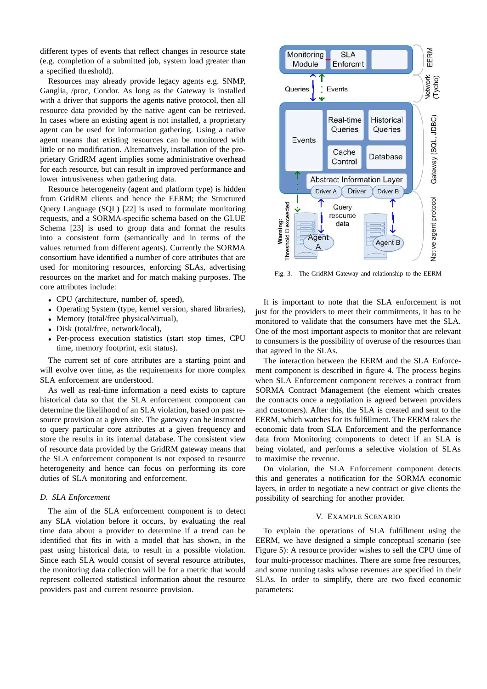different types of events that reflect changes in resource state (e.g. completion of a submitted job, system load greater than a specified threshold).

Resources may already provide legacy agents e.g. SNMP, Ganglia, /proc, Condor. As long as the Gateway is installed with a driver that supports the agents native protocol, then all resource data provided by the native agent can be retrieved. In cases where an existing agent is not installed, a proprietary agent can be used for information gathering. Using a native agent means that existing resources can be monitored with little or no modification. Alternatively, installation of the proprietary GridRM agent implies some administrative overhead for each resource, but can result in improved performance and lower intrusiveness when gathering data.

Resource heterogeneity (agent and platform type) is hidden from GridRM clients and hence the EERM; the Structured Query Language (SQL) [22] is used to formulate monitoring requests, and a SORMA-specific schema based on the GLUE Schema [23] is used to group data and format the results into a consistent form (semantically and in terms of the values returned from different agents). Currently the SORMA consortium have identified a number of core attributes that are used for monitoring resources, enforcing SLAs, advertising resources on the market and for match making purposes. The core attributes include:

- CPU (architecture, number of, speed),
- Operating System (type, kernel version, shared libraries),
- Memory (total/free physical/virtual),
- Disk (total/free, network/local),
- Per-process execution statistics (start stop times, CPU time, memory footprint, exit status).

The current set of core attributes are a starting point and will evolve over time, as the requirements for more complex SLA enforcement are understood.

As well as real-time information a need exists to capture historical data so that the SLA enforcement component can determine the likelihood of an SLA violation, based on past resource provision at a given site. The gateway can be instructed to query particular core attributes at a given frequency and store the results in its internal database. The consistent view of resource data provided by the GridRM gateway means that the SLA enforcement component is not exposed to resource heterogeneity and hence can focus on performing its core duties of SLA monitoring and enforcement.

### *D. SLA Enforcement*

The aim of the SLA enforcement component is to detect any SLA violation before it occurs, by evaluating the real time data about a provider to determine if a trend can be identified that fits in with a model that has shown, in the past using historical data, to result in a possible violation. Since each SLA would consist of several resource attributes, the monitoring data collection will be for a metric that would represent collected statistical information about the resource providers past and current resource provision.



Fig. 3. The GridRM Gateway and relationship to the EERM

It is important to note that the SLA enforcement is not just for the providers to meet their commitments, it has to be monitored to validate that the consumers have met the SLA. One of the most important aspects to monitor that are relevant to consumers is the possibility of overuse of the resources than that agreed in the SLAs.

The interaction between the EERM and the SLA Enforcement component is described in figure 4. The process begins when SLA Enforcement component receives a contract from SORMA Contract Management (the element which creates the contracts once a negotiation is agreed between providers and customers). After this, the SLA is created and sent to the EERM, which watches for its fulfillment. The EERM takes the economic data from SLA Enforcement and the performance data from Monitoring components to detect if an SLA is being violated, and performs a selective violation of SLAs to maximise the revenue.

On violation, the SLA Enforcement component detects this and generates a notification for the SORMA economic layers, in order to negotiate a new contract or give clients the possibility of searching for another provider.

#### V. EXAMPLE SCENARIO

To explain the operations of SLA fulfillment using the EERM, we have designed a simple conceptual scenario (see Figure 5): A resource provider wishes to sell the CPU time of four multi-processor machines. There are some free resources, and some running tasks whose revenues are specified in their SLAs. In order to simplify, there are two fixed economic parameters: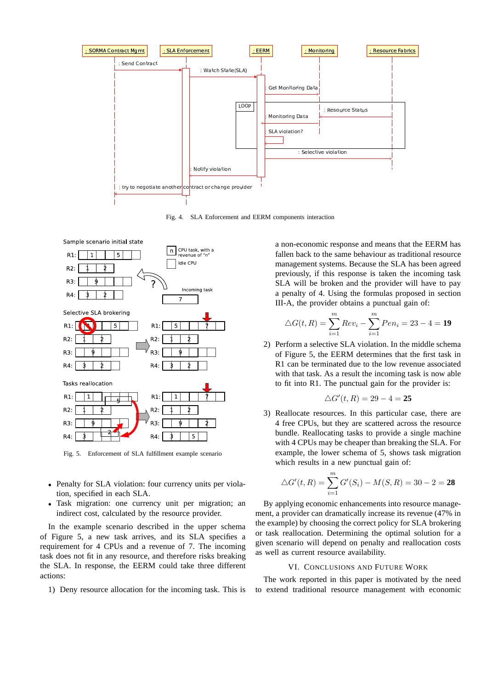

Fig. 4. SLA Enforcement and EERM components interaction



Fig. 5. Enforcement of SLA fulfillment example scenario

- Penalty for SLA violation: four currency units per violation, specified in each SLA.
- Task migration: one currency unit per migration; an indirect cost, calculated by the resource provider.

In the example scenario described in the upper schema of Figure 5, a new task arrives, and its SLA specifies a requirement for 4 CPUs and a revenue of 7. The incoming task does not fit in any resource, and therefore risks breaking the SLA. In response, the EERM could take three different actions:

1) Deny resource allocation for the incoming task. This is

a non-economic response and means that the EERM has fallen back to the same behaviour as traditional resource management systems. Because the SLA has been agreed previously, if this response is taken the incoming task SLA will be broken and the provider will have to pay a penalty of 4. Using the formulas proposed in section III-A, the provider obtains a punctual gain of:

$$
\triangle G(t, R) = \sum_{i=1}^{m} Rev_i - \sum_{i=1}^{m} Pen_i = 23 - 4 = 19
$$

2) Perform a selective SLA violation. In the middle schema of Figure 5, the EERM determines that the first task in R1 can be terminated due to the low revenue associated with that task. As a result the incoming task is now able to fit into R1. The punctual gain for the provider is:

$$
\triangle G'(t, R) = 29 - 4 =
$$
**25**

3) Reallocate resources. In this particular case, there are 4 free CPUs, but they are scattered across the resource bundle. Reallocating tasks to provide a single machine with 4 CPUs may be cheaper than breaking the SLA. For example, the lower schema of 5, shows task migration which results in a new punctual gain of:

$$
\triangle G'(t, R) = \sum_{i=1}^{m} G'(S_i) - M(S, R) = 30 - 2 = 28
$$

By applying economic enhancements into resource management, a provider can dramatically increase its revenue (47% in the example) by choosing the correct policy for SLA brokering or task reallocation. Determining the optimal solution for a given scenario will depend on penalty and reallocation costs as well as current resource availability.

## VI. CONCLUSIONS AND FUTURE WORK

The work reported in this paper is motivated by the need to extend traditional resource management with economic